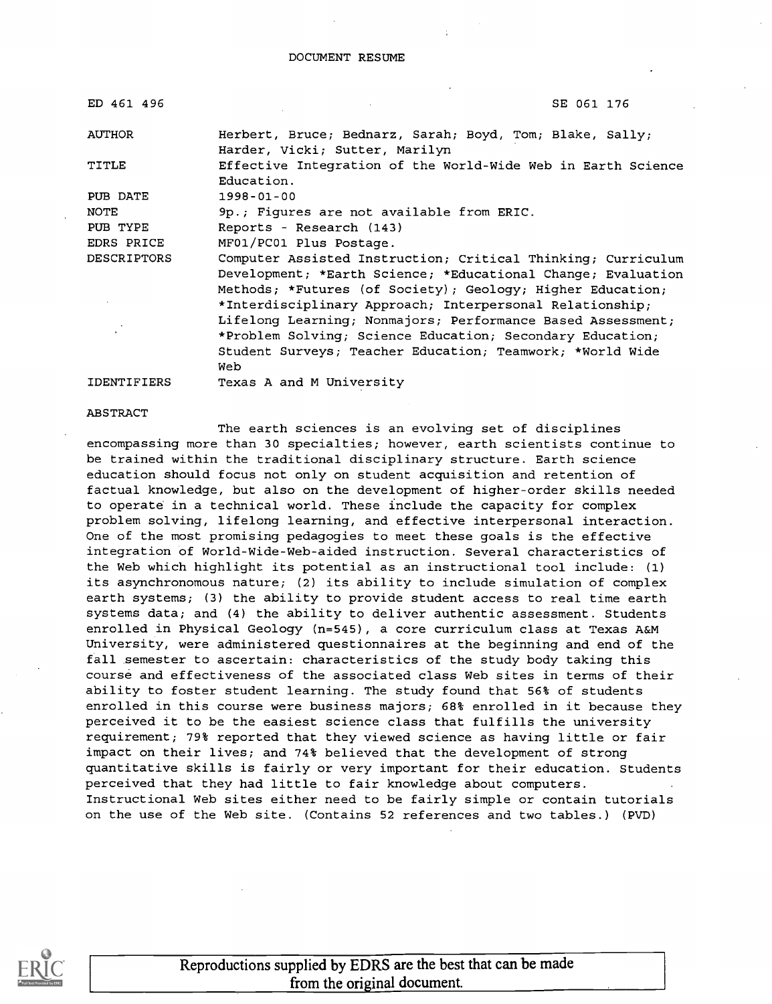#### DOCUMENT RESUME

| ED 461 496         | SE 061 176                                                                                                                                                                                                                                                                                                                                                                                                                                             |
|--------------------|--------------------------------------------------------------------------------------------------------------------------------------------------------------------------------------------------------------------------------------------------------------------------------------------------------------------------------------------------------------------------------------------------------------------------------------------------------|
| <b>AUTHOR</b>      | Herbert, Bruce; Bednarz, Sarah; Boyd, Tom; Blake, Sally;<br>Harder, Vicki; Sutter, Marilyn                                                                                                                                                                                                                                                                                                                                                             |
| TITLE              | Effective Integration of the World-Wide Web in Earth Science<br>Education.                                                                                                                                                                                                                                                                                                                                                                             |
| PUB DATE           | 1998-01-00                                                                                                                                                                                                                                                                                                                                                                                                                                             |
| NOTE               | 9p.; Figures are not available from ERIC.                                                                                                                                                                                                                                                                                                                                                                                                              |
| PUB TYPE           | Reports - Research (143)                                                                                                                                                                                                                                                                                                                                                                                                                               |
| EDRS PRICE         | MF01/PC01 Plus Postage.                                                                                                                                                                                                                                                                                                                                                                                                                                |
| <b>DESCRIPTORS</b> | Computer Assisted Instruction; Critical Thinking; Curriculum<br>Development; *Earth Science; *Educational Change; Evaluation<br>Methods; *Futures (of Society); Geology; Higher Education;<br>*Interdisciplinary Approach; Interpersonal Relationship;<br>Lifelong Learning; Nonmajors; Performance Based Assessment;<br>*Problem Solving; Science Education; Secondary Education;<br>Student Surveys; Teacher Education; Teamwork; *World Wide<br>Web |

IDENTIFIERS Texas A and M University

#### ABSTRACT

The earth sciences is an evolving set of disciplines encompassing more than 30 specialties; however, earth scientists continue to be trained within the traditional disciplinary structure. Earth science education should focus not only on student acquisition and retention of factual knowledge, but also on the development of higher-order skills needed to operate in a technical world. These include the capacity for complex problem solving, lifelong learning, and effective interpersonal interaction. One of the most promising pedagogies to meet these goals is the effective integration of World-Wide-Web-aided instruction. Several characteristics of the Web which highlight its potential as an instructional tool include: (1) its asynchronomous nature; (2) its ability to include simulation of complex earth systems; (3) the ability to provide student access to real time earth systems data; and (4) the ability to deliver authentic assessment. Students enrolled in Physical Geology (n=545), a core curriculum class at Texas A&M University, were administered questionnaires at the beginning and end of the fall semester to ascertain: characteristics of the study body taking this course and effectiveness of the associated class Web sites in terms of their ability to foster student learning. The study found that 56% of students enrolled in this course were business majors; 68% enrolled in it because they perceived it to be the easiest science class that fulfills the university requirement; 79% reported that they viewed science as having little or fair impact on their lives; and 74% believed that the development of strong quantitative skills is fairly or very important for their education. Students perceived that they had little to fair knowledge about computers. Instructional Web sites either need to be fairly simple or contain tutorials on the use of the Web site. (Contains 52 references and two tables.) (PVD)

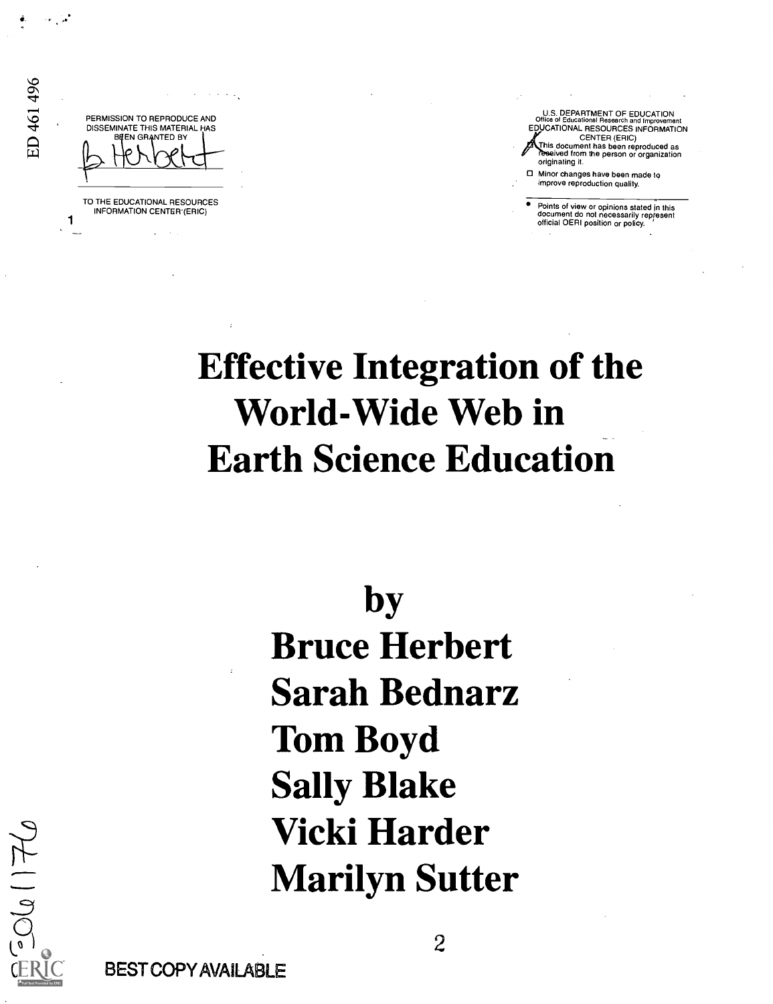PERMISSION TO REPRODUCE AND DISSEMINATE THIS MATERIAL HAS **BEEN GRANTED BY** 

TO THE EDUCATIONAL RESOURCES INFORMATION CENTER (ERIC)

U S. DEPARTMENT OF EDUCATION Office of Educational Research and Improvement EDUCATIONAL RESOURCES INFORMATION CENTER (ERIC) This document has been reproduced as ?eeved from the person or organization originating it.

Minor changes have been made to improve reproduction quality.

Points of view or opinions stated in this<br>document do not necessarily represent<br>official OERI position or policy.

# Effective Integration of the World-Wide Web in Earth Science Education

by

Bruce Herbert Sarah Bednarz Tom Boyd Sally Blake Vicki Harder Marilyn Sutter

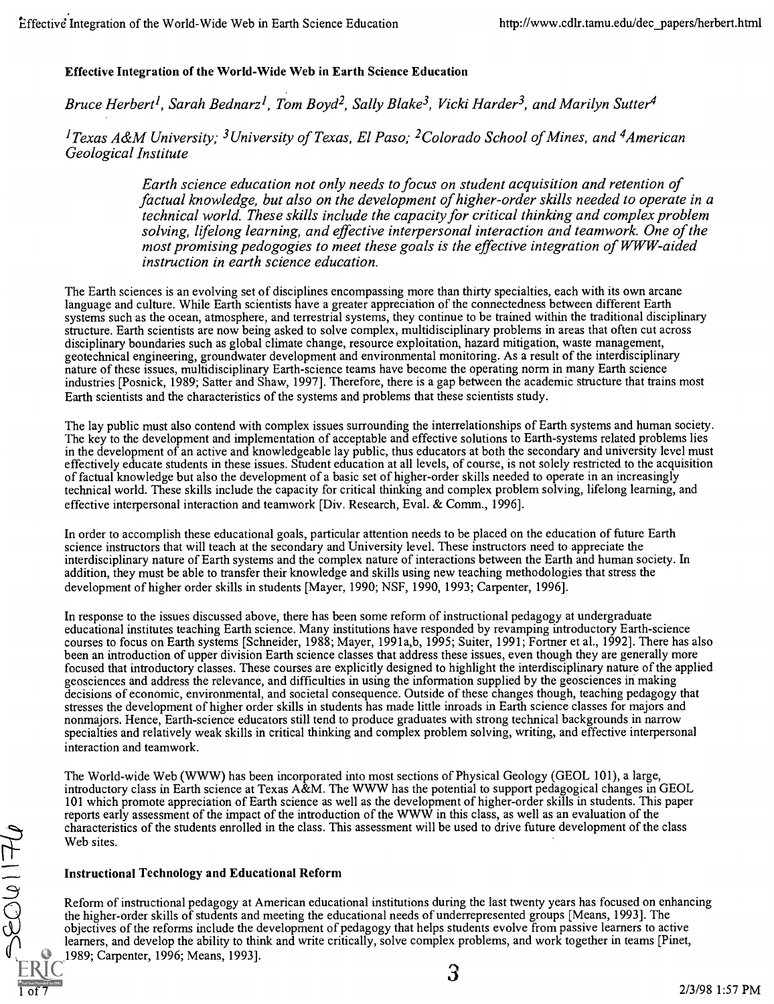## Effective Integration of the World-Wide Web in Earth Science Education

Bruce Herbert<sup>1</sup>, Sarah Bednarz<sup>1</sup>, Tom Boyd<sup>2</sup>, Sally Blake<sup>3</sup>, Vicki Harder<sup>3</sup>, and Marilyn Sutter<sup>4</sup>

<sup>1</sup> Texas A&M University; <sup>3</sup> University of Texas, El Paso; <sup>2</sup> Colorado School of Mines, and <sup>4</sup> American Geological Institute

> Earth science education not only needs to focus on student acquisition and retention of factual knowledge, but also on the development of higher-order skills needed to operate in a technical world. These skills include the capacity for critical thinking and complex problem solving, lifelong learning, and effective interpersonal interaction and teamwork. One of the most promising pedogogies to meet these goals is the effective integration of WWW-aided instruction in earth science education.

The Earth sciences is an evolving set of disciplines encompassing more than thirty specialties, each with its own arcane language and culture. While Earth scientists have a greater appreciation of the connectedness between different Earth systems such as the ocean, atmosphere, and terrestrial systems, they continue to be trained within the traditional disciplinary structure. Earth scientists are now being asked to solve complex, multidisciplinary problems in areas that often cut across disciplinary boundaries such as global climate change, resource exploitation, hazard mitigation, waste management, geotechnical engineering, groundwater development and environmental monitoring. As a result of the interdisciplinary nature of these issues, multidisciplinary Earth-science teams have become the operating norm in many Earth science industries [Posnick, 1989; Satter and Shaw, 1997]. Therefore, there is a gap between the academic structure that trains most Earth scientists and the characteristics of the systems and problems that these scientists study.

The lay public must also contend with complex issues surrounding the interrelationships of Earth systems and human society. The key to the development and implementation of acceptable and effective solutions to Earth-systems related problems lies in the development of an active and knowledgeable lay public, thus educators at both the secondary and university level must effectively educate students in these issues. Student education at all levels, of course, is not solely restricted to the acquisition of factual knowledge but also the development of a basic set of higher-order skills needed to operate in an increasingly technical world. These skills include the capacity for critical thinking and complex problem solving, lifelong learning, and effective interpersonal interaction and teamwork [Div. Research, Eval. & Comm., 1996].

In order to accomplish these educational goals, particular attention needs to be placed on the education of future Earth science instructors that will teach at the secondary and University level. These instructors need to appreciate the interdisciplinary nature of Earth systems and the complex nature of interactions between the Earth and human society. In addition, they must be able to transfer their knowledge and skills using new teaching methodologies that stress the development of higher order skills in students [Mayer, 1990; NSF, 1990, 1993; Carpenter, 1996].

In response to the issues discussed above, there has been some reform of instructional pedagogy at undergraduate educational institutes teaching Earth science. Many institutions have responded by revamping introductory Earth-science courses to focus on Earth systems [Schneider, 1988; Mayer, 1991a,b, 1995; Suiter, 1991; Fortner et al., 1992]. There has also been an introduction of upper division Earth science classes that address these issues, even though they are generally more focused that introductory classes. These courses are explicitly designed to highlight the interdisciplinary nature of the applied geosciences and address the relevance, and difficulties in using the information supplied by the geosciences in making decisions of economic, environmental, and societal consequence. Outside of these changes though, teaching pedagogy that stresses the development of higher order skills in students has made little inroads in Earth science classes for majors and nonmajors. Hence, Earth-science educators still tend to produce graduates with strong technical backgrounds in narrow specialties and relatively weak skills in critical thinking and complex problem solving, writing, and effective interpersonal interaction and teamwork.

The World-wide Web (WWW) has been incorporated into most sections of Physical Geology (GEOL 101), a large, introductory class in Earth science at Texas A&M. The WWW has the potential to support pedagogical changes in GEOL 101 which promote appreciation of Earth science as well as the development of higher-order skills in students. This paper reports early assessment of the impact of the introduction of the WWW in this class, as well as an evaluation of the characteristics of the students enrolled in the class. This assessment will be used to drive future development of the class Web sites.

## Instructional Technology and Educational Reform

 $0 + 10035$ 

Reform of instructional pedagogy at American educational institutions during the last twenty years has focused on enhancing the higher-order skills of students and meeting the educational needs of underrepresented groups [Means, 1993]. The objectives of the reforms include the development of pedagogy that helps students evolve from passive learners to active learners, and develop the ability to think and write critically, solve complex problems, and work together in teams [Pinet, 1989; Carpenter, 1996; Means, 1993].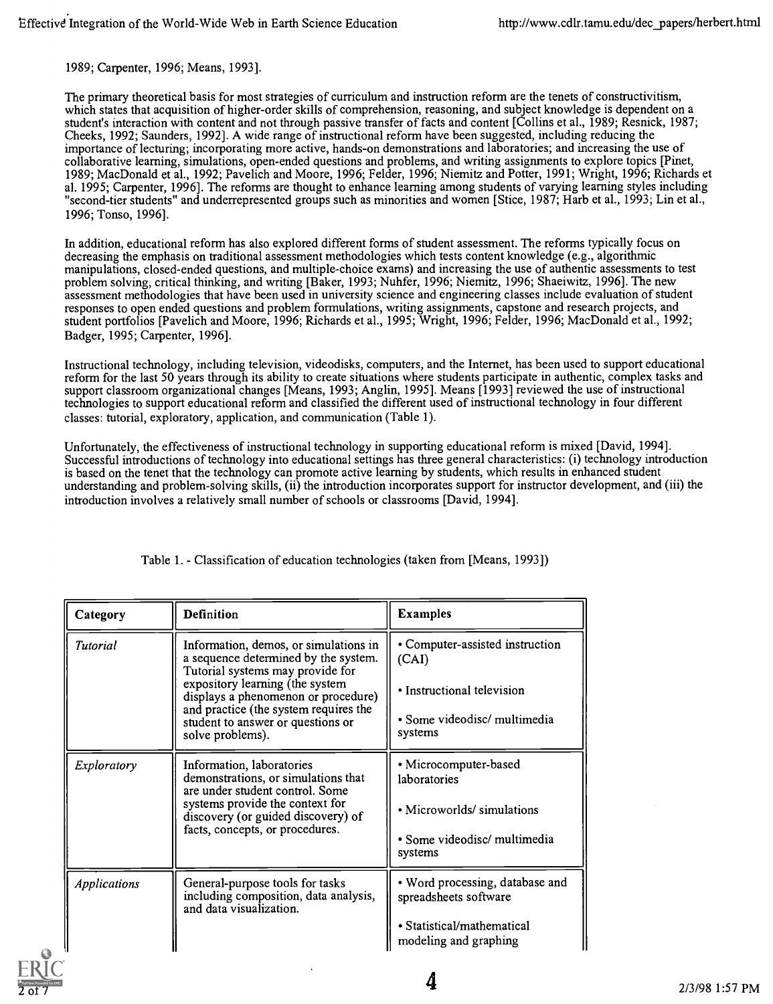1989; Carpenter, 1996; Means, 1993].

The primary theoretical basis for most strategies of curriculum and instruction reform are the tenets of constructivitism, which states that acquisition of higher-order skills of comprehension, reasoning, and subject knowledge is dependent on a student's interaction with content and not through passive transfer of facts and content [Collins et al., 1989; Resnick, 1987; Cheeks, 1992; Saunders, 1992]. A wide range of instructional reform have been suggested, including reducing the importance of lecturing; incorporating more active, hands-on demonstrations and laboratories; and increasing the use of collaborative learning, simulations, open-ended questions and problems, and writing assignments to explore topics [Pinet, 1989; MacDonald et al., 1992; Pavelich and Moore, 1996; Felder, 1996; Niemitz and Potter, 1991; Wright, 1996; Richards et al. 1995; Carpenter, 1996]. The reforms are thought to enhance learning among students of varying learning styles including "second-tier students" and underrepresented groups such as minorities and women [Stice, 1987; Harb et al., 1993; Lin et al., 1996; Tonso, 1996].

In addition, educational reform has also explored different forms of student assessment. The reforms typically focus on decreasing the emphasis on traditional assessment methodologies which tests content knowledge (e.g., algorithmic manipulations, closed-ended questions, and multiple-choice exams) and increasing the use of authentic assessments to test problem solving, critical thinking, and writing [Baker, 1993; Nuhfer, 1996; Niemitz, 1996; Shaeiwitz, 1996]. The new assessment methodologies that have been used in university science and engineering classes include evaluation of student responses to open ended questions and problem formulations, writing assignments, capstone and research projects, and student portfolios [Pavelich and Moore, 1996; Richards et al., 1995; Wright, 1996; Felder, 1996; MacDonald et al., 1992; Badger, 1995; Carpenter, 1996].

Instructional technology, including television, videodisks, computers, and the Internet, has been used to support educational reform for the last 50 years through its ability to create situations where students participate in authentic, complex tasks and support classroom organizational changes [Means, 1993; Anglin, 1995]. Means [1993] reviewed the use of instructional technologies to support educational reform and classified the different used of instructional technology in four different classes: tutorial, exploratory, application, and communication (Table 1).

Unfortunately, the effectiveness of instructional technology in supporting educational reform is mixed [David, 1994]. Successful introductions of technology into educational settings has three general characteristics: (i) technology introduction is based on the tenet that the technology can promote active learning by students, which results in enhanced student understanding and problem-solving skills, (ii) the introduction incorporates support for instructor development, and (iii) the introduction involves a relatively small number of schools or classrooms [David, 1994].

| Category            | <b>Definition</b>                                                                                                                                                                           | <b>Examples</b>                                          |  |
|---------------------|---------------------------------------------------------------------------------------------------------------------------------------------------------------------------------------------|----------------------------------------------------------|--|
| <b>Tutorial</b>     | Information, demos, or simulations in<br>a sequence determined by the system.<br>Tutorial systems may provide for<br>expository learning (the system<br>displays a phenomenon or procedure) | • Computer-assisted instruction<br>(CAI)                 |  |
|                     |                                                                                                                                                                                             | • Instructional television                               |  |
|                     | and practice (the system requires the<br>student to answer or questions or<br>solve problems).                                                                                              | • Some videodisc/ multimedia<br>systems                  |  |
| Exploratory         | Information, laboratories<br>demonstrations, or simulations that<br>are under student control. Some<br>systems provide the context for<br>discovery (or guided discovery) of                | • Microcomputer-based<br>laboratories                    |  |
|                     |                                                                                                                                                                                             | • Microworlds/ simulations                               |  |
|                     | facts, concepts, or procedures.                                                                                                                                                             | • Some videodisc/ multimedia<br>systems                  |  |
| <b>Applications</b> | General-purpose tools for tasks<br>including composition, data analysis,<br>and data visualization.                                                                                         | • Word processing, database and<br>spreadsheets software |  |
|                     |                                                                                                                                                                                             | • Statistical/mathematical<br>modeling and graphing      |  |

Table 1. - Classification of education technologies (taken from [Means, 1993])

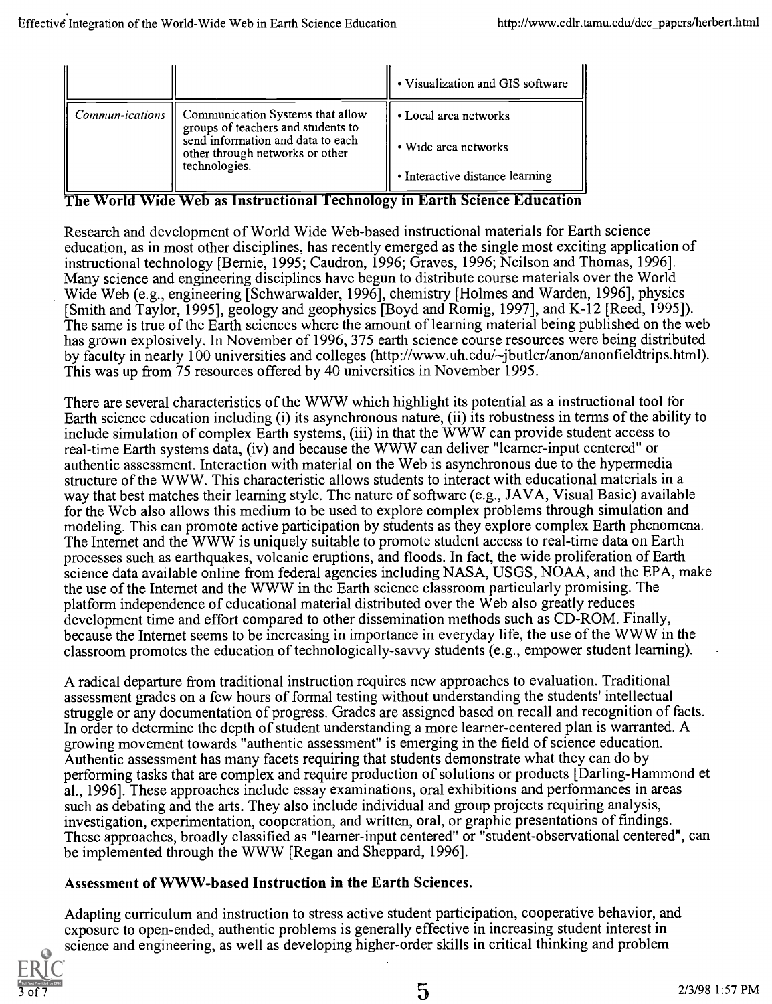|                                                                                                                                                                                          | • Visualization and GIS software |
|------------------------------------------------------------------------------------------------------------------------------------------------------------------------------------------|----------------------------------|
| <i>Commun-ications</i>   Communication Systems that allow<br>groups of teachers and students to<br>send information and data to each<br>other through networks or other<br>technologies. | • Local area networks            |
|                                                                                                                                                                                          | • Wide area networks             |
|                                                                                                                                                                                          | • Interactive distance learning  |

## The World Wide Web as Instructional Technology in Earth Science Education

Research and development of World Wide Web-based instructional materials for Earth science education, as in most other disciplines, has recently emerged as the single most exciting application of instructional technology [Bernie, 1995; Caudron, 1996; Graves, 1996; Neilson and Thomas, 1996]. Many science and engineering disciplines have begun to distribute course materials over the World Wide Web (e.g., engineering [Schwarwalder, 1996], chemistry [Holmes and Warden, 1996], physics [Smith and Taylor, 1995], geology and geophysics [Boyd and Romig, 1997], and K-12 [Reed, 1995]). The same is true of the Earth sciences where the amount of learning material being published on the web has grown explosively. In November of 1996, 375 earth science course resources were being distributed by faculty in nearly 100 universities and colleges (http://www.uh.edu/~jbutler/anon/anonfieldtrips.html). This was up from 75 resources offered by 40 universities in November 1995.

There are several characteristics of the WWW which highlight its potential as a instructional tool for Earth science education including (i) its asynchronous nature, (ii) its robustness in terms of the ability to include simulation of complex Earth systems, (iii) in that the WWW can provide student access to real-time Earth systems data, (iv) and because the WWW can deliver "learner-input centered" or authentic assessment. Interaction with material on the Web is asynchronous due to the hypermedia structure of the WWW. This characteristic allows students to interact with educational materials in a way that best matches their learning style. The nature of software (e.g., JAVA, Visual Basic) available for the Web also allows this medium to be used to explore complex problems through simulation and modeling. This can promote active participation by students as they explore complex Earth phenomena. The Internet and the WWW is uniquely suitable to promote student access to real-time data on Earth processes such as earthquakes, volcanic eruptions, and floods. In fact, the wide proliferation of Earth science data available online from federal agencies including NASA, USGS, NOAA, and the EPA, make the use of the Internet and the WWW in the Earth science classroom particularly promising. The platform independence of educational material distributed over the Web also greatly reduces development time and effort compared to other dissemination methods such as CD-ROM. Finally, because the Internet seems to be increasing in importance in everyday life, the use of the WWW in the classroom promotes the education of technologically-savvy students (e.g., empower student learning).

A radical departure from traditional instruction requires new approaches to evaluation. Traditional assessment grades on a few hours of formal testing without understanding the students' intellectual struggle or any documentation of progress. Grades are assigned based on recall and recognition of facts. In order to determine the depth of student understanding a more learner-centered plan is warranted. A growing movement towards "authentic assessment" is emerging in the field of science education. Authentic assessment has many facets requiring that students demonstrate what they can do by performing tasks that are complex and require production of solutions or products [Darling-Hammond et al., 1996]. These approaches include essay examinations, oral exhibitions and performances in areas such as debating and the arts. They also include individual and group projects requiring analysis, investigation, experimentation, cooperation, and written, oral, or graphic presentations of findings. These approaches, broadly classified as "learner-input centered" or "student-observational centered", can be implemented through the WWW [Regan and Sheppard, 1996].

## Assessment of WWW-based Instruction in the Earth Sciences.

Adapting curriculum and instruction to stress active student participation, cooperative behavior, and exposure to open-ended, authentic problems is generally effective in increasing student interest in science and engineering, as well as developing higher-order skills in critical thinking and problem

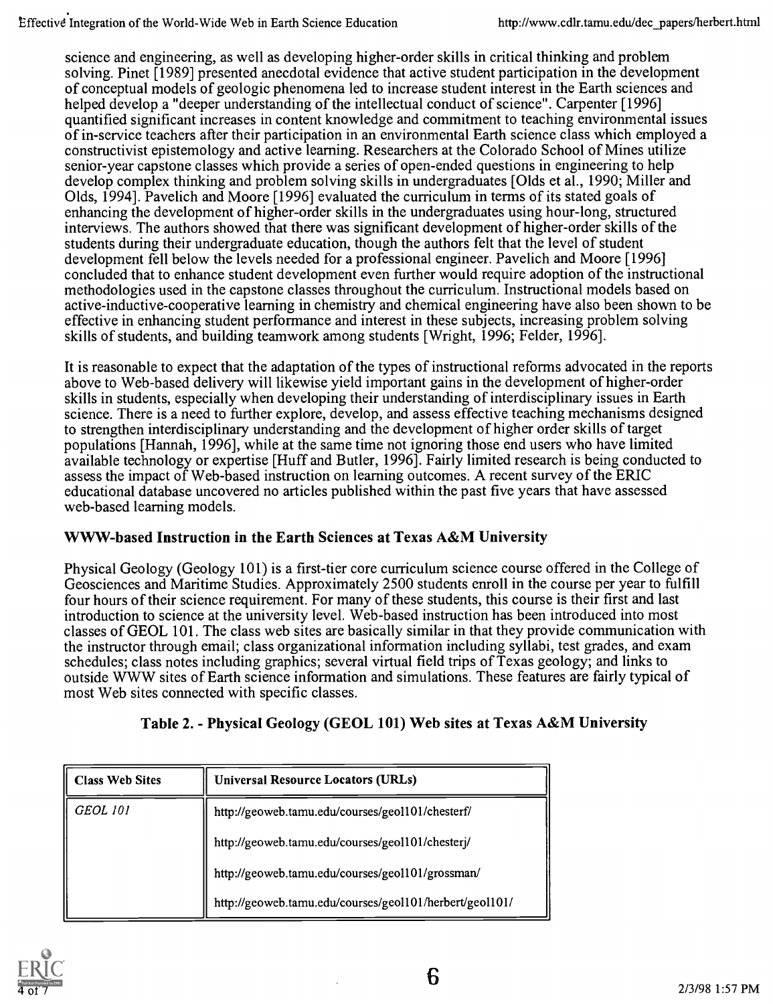science and engineering, as well as developing higher-order skills in critical thinking and problem solving. Pinet [1989] presented anecdotal evidence that active student participation in the development of conceptual models of geologic phenomena led to increase student interest in the Earth sciences and helped develop a "deeper understanding of the intellectual conduct of science". Carpenter [1996] quantified significant increases in content knowledge and commitment to teaching environmental issues of in-service teachers after their participation in an environmental Earth science class which employed a constructivist epistemology and active learning. Researchers at the Colorado School of Mines utilize senior-year capstone classes which provide a series of open-ended questions in engineering to help develop complex thinking and problem solving skills in undergraduates [Olds et al., 1990; Miller and Olds, 1994]. Pavelich and Moore [1996] evaluated the curriculum in terms of its stated goals of enhancing the development of higher-order skills in the undergraduates using hour-long, structured interviews. The authors showed that there was significant development of higher-order skills of the students during their undergraduate education, though the authors felt that the level of student development fell below the levels needed for a professional engineer. Pavelich and Moore [1996] concluded that to enhance student development even further would require adoption of the instructional methodologies used in the capstone classes throughout the curriculum. Instructional models based on active-inductive-cooperative learning in chemistry and chemical engineering have also been shown to be effective in enhancing student performance and interest in these subjects, increasing problem solving skills of students, and building teamwork among students [Wright, 1996; Felder, 1996].

It is reasonable to expect that the adaptation of the types of instructional reforms advocated in the reports above to Web-based delivery will likewise yield important gains in the development of higher-order skills in students, especially when developing their understanding of interdisciplinary issues in Earth science. There is a need to further explore, develop, and assess effective teaching mechanisms designed to strengthen interdisciplinary understanding and the development of higher order skills of target populations [Hannah, 1996], while at the same time not ignoring those end users who have limited available technology or expertise [Huff and Butler, 1996]. Fairly limited research is being conducted to assess the impact of Web-based instruction on learning outcomes. A recent survey of the ERIC educational database uncovered no articles published within the past five years that have assessed web-based learning models.

## WWW-based Instruction in the Earth Sciences at Texas A&M University

Physical Geology (Geology 101) is a first-tier core curriculum science course offered in the College of Geosciences and Maritime Studies. Approximately 2500 students enroll in the course per year to fulfill four hours of their science requirement. For many of these students, this course is their first and last introduction to science at the university level. Web-based instruction has been introduced into most classes of GEOL 101. The class web sites are basically similar in that they provide communication with the instructor through email; class organizational information including syllabi, test grades, and exam schedules; class notes including graphics; several virtual field trips of Texas geology; and links to outside WWW sites of Earth science information and simulations. These features are fairly typical of most Web sites connected with specific classes.

| <b>Class Web Sites</b> | <b>Universal Resource Locators (URLs)</b>               |
|------------------------|---------------------------------------------------------|
| <b>GEOL 101</b>        | http://geoweb.tamu.edu/courses/geol101/chesterf/        |
|                        | http://geoweb.tamu.edu/courses/geol101/chesterj/        |
|                        | http://geoweb.tamu.edu/courses/geol101/grossman/        |
|                        | http://geoweb.tamu.edu/courses/geol101/herbert/geol101/ |

## Table 2. - Physical Geology (GEOL 101) Web sites at Texas A&M University

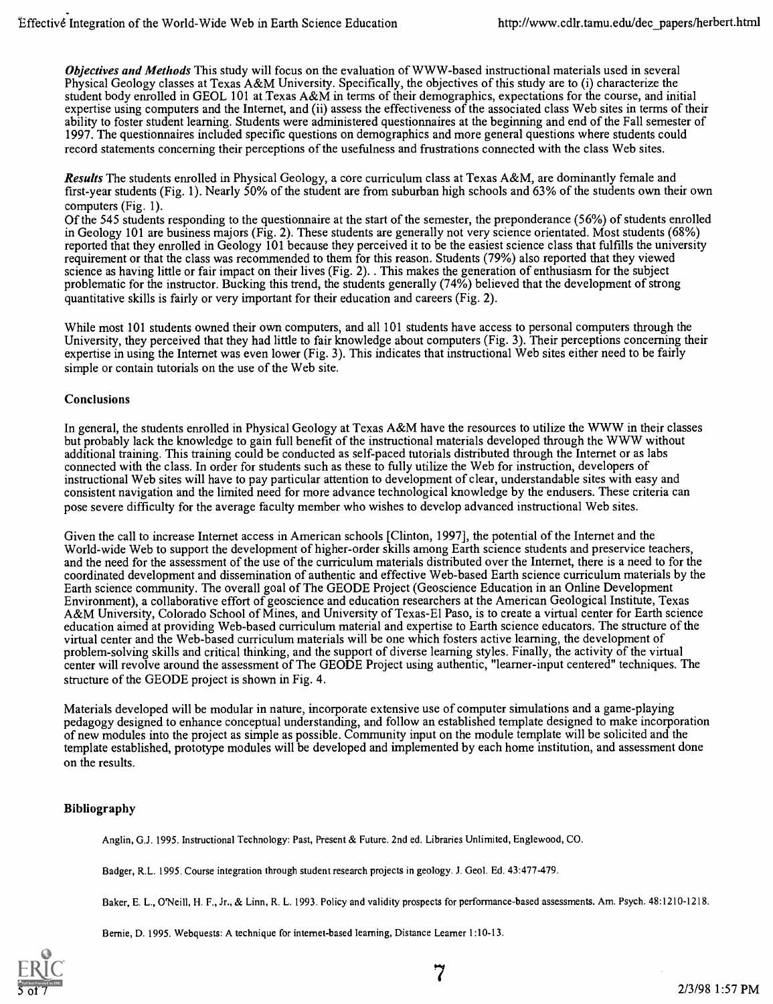**Objectives and Methods** This study will focus on the evaluation of WWW-based instructional materials used in several Physical Geology classes at Texas A&M University. Specifically, the objectives of this study are to (i) characterize the student body enrolled in GEOL 101 at Texas A&M in terms of their demographics, expectations for the course, and initial expertise using computers and the Internet, and (ii) assess the effectiveness of the associated class Web sites in terms of their ability to foster student learning. Students were administered questionnaires at the beginning and end of the Fall semester of 1997. The questionnaires included specific questions on demographics and more general questions where students could record statements concerning their perceptions of the usefulness and frustrations connected with the class Web sites.

Results The students enrolled in Physical Geology, a core curriculum class at Texas A&M, are dominantly female and first-year students (Fig. 1). Nearly 50% of the student are from suburban high schools and 63% of the students own their own computers (Fig. 1).

Of the 545 students responding to the questionnaire at the start of the semester, the preponderance (56%) of students enrolled in Geology 101 are business majors (Fig. 2). These students are generally not very science orientated. Most students (68%) reported that they enrolled in Geology 101 because they perceived it to be the easiest science class that fulfills the university requirement or that the class was recommended to them for this reason. Students (79%) also reported that they viewed science as having little or fair impact on their lives (Fig. 2). . This makes the generation of enthusiasm for the subject problematic for the instructor. Bucking this trend, the students generally (74%) believed that the development of strong quantitative skills is fairly or very important for their education and careers (Fig. 2).

While most 101 students owned their own computers, and all 101 students have access to personal computers through the University, they perceived that they had little to fair knowledge about computers (Fig. 3). Their perceptions concerning their expertise in using the Internet was even lower (Fig. 3). This indicates that instructional Web sites either need to be fairly simple or contain tutorials on the use of the Web site.

## Conclusions

In general, the students enrolled in Physical Geology at Texas A&M have the resources to utilize the WWW in their classes but probably lack the knowledge to gain full benefit of the instructional materials developed through the WWW without additional training. This training could be conducted as self-paced tutorials distributed through the Internet or as labs connected with the class. In order for students such as these to fully utilize the Web for instruction, developers of instructional Web sites will have to pay particular attention to development of clear, understandable sites with easy and consistent navigation and the limited need for more advance technological knowledge by the endusers. These criteria can pose severe difficulty for the average faculty member who wishes to develop advanced instructional Web sites.

Given the call to increase Internet access in American schools [Clinton, 1997], the potential of the Internet and the World-wide Web to support the development of higher-order skills among Earth science students and preservice teachers, and the need for the assessment of the use of the curriculum materials distributed over the Internet, there is a need to for the coordinated development and dissemination of authentic and effective Web-based Earth science curriculum materials by the Earth science community. The overall goal of The GEODE Project (Geoscience Education in an Online Development Environment), a collaborative effort of geoscience and education researchers at the American Geological Institute, Texas A&M University, Colorado School of Mines, and University of Texas-El Paso, is to create a virtual center for Earth science education aimed at providing Web-based curriculum material and expertise to Earth science educators. The structure of the virtual center and the Web-based curriculum materials will be one which fosters active learning, the development of problem-solving skills and critical thinking, and the support of diverse learning styles. Finally, the activity of the virtual center will revolve around the assessment of The GEODE Project using authentic, "learner-input centered" techniques. The structure of the GEODE project is shown in Fig. 4.

Materials developed will be modular in nature, incorporate extensive use of computer simulations and a game-playing pedagogy designed to enhance conceptual understanding, and follow an established template designed to make incorporation of new modules into the project as simple as possible. Community input on the module template will be solicited and the template established, prototype modules will be developed and implemented by each home institution, and assessment done on the results.

## Bibliography

Anglin, G.J. 1995. Instructional Technology: Past, Present & Future. 2nd ed. Libraries Unlimited, Englewood, CO.

Badger, R.L. 1995. Course integration through student research projects in geology. J. Geol. Ed. 43:477-479.

Baker, E. L., O'Neill, H. F., Jr., & Linn, R. L. 1993. Policy and validity prospects for performance-based assessments. Am. Psych. 48:1210-1218.

Bernie, D. 1995. Webquests: A technique for internet-based learning, Distance Learner 1:10-13.



7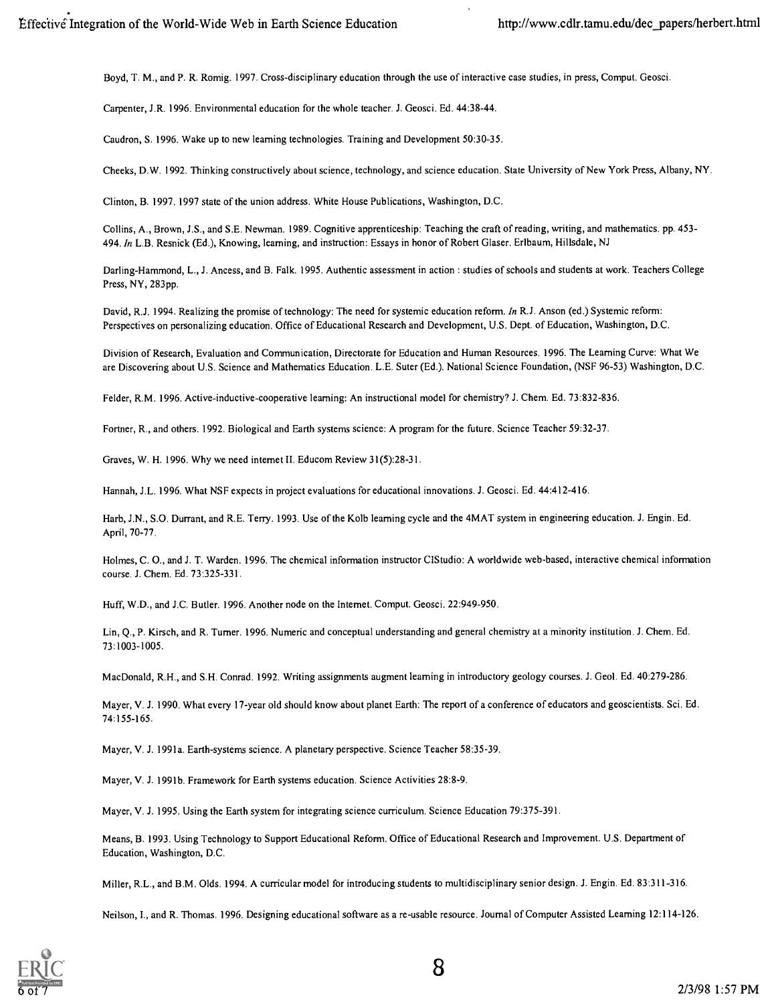Boyd, T. M., and P. R. Romig. 1997. Cross-disciplinary education through the use of interactive case studies, in press, Comput. Geosci.

Carpenter, J.R. 1996. Environmental education for the whole teacher. J. Geosci. Ed. 44:38-44.

Caudron, S. 1996. Wake up to new learning technologies. Training and Development 50:30-35.

Cheeks, D.W. 1992. Thinking constructively about science, technology, and science education. State University of New York Press, Albany, NY.

Clinton, B. 1997. 1997 state of the union address. White House Publications, Washington, D.C.

Collins, A., Brown, J.S., and S.E. Newman. 1989. Cognitive apprenticeship: Teaching the craft of reading, writing, and mathematics. pp. 453- 494. In L.B. Resnick (Ed.), Knowing, learning, and instruction: Essays in honor of Robert Glaser. Erlbaum, Hillsdale, NJ

Darling-Hammond, L., J. Ancess, and B. Falk. 1995. Authentic assessment in action : studies of schools and students at work. Teachers College Press, NY, 283pp.

David, R.J. 1994. Realizing the promise of technology: The need for systemic education reform. In R.J. Anson (ed.) Systemic reform: Perspectives on personalizing education. Office of Educational Research and Development, U.S. Dept. of Education, Washington, D.C.

Division of Research, Evaluation and Communication, Directorate for Education and Human Resources. 1996. The Learning Curve: What We are Discovering about U.S. Science and Mathematics Education. L.E. Suter (Ed.). National Science Foundation, (NSF 96-53) Washington, D.C.

Felder, R.M. 1996. Active-inductive-cooperative learning: An instructional model for chemistry? J. Chem. Ed. 73:832-836.

Fortner, R., and others. 1992. Biological and Earth systems science: A program for the future. Science Teacher 59:32-37.

Graves, W. H. 1996. Why we need internet II. Educom Review 31(5):28-31.

Hannah, J.L. 1996. What NSF expects in project evaluations for educational innovations. J. Geosci. Ed. 44:412-416.

Harb, J.N., S.O. Durrant, and R.E. Terry. 1993. Use of the Kolb learning cycle and the 4MAT system in engineering education. J. Engin. Ed. April, 70-77.

Holmes, C. 0., and J. T. Warden. 1996. The chemical information instructor CIStudio: A worldwide web-based, interactive chemical information course. J. Chem. Ed. 73:325-331.

Huff, W.D., and J.C. Butler. 1996. Another node on the Internet. Comput. Geosci. 22:949-950.

Lin, Q., P. Kirsch, and R. Turner. 1996. Numeric and conceptual understanding and general chemistry at a minority institution. J. Chem. Ed. 73:1003-1005.

MacDonald, R.H., and S.H. Conrad. 1992. Writing assignments augment learning in introductory geology courses. J. Geol. Ed. 40:279-286.

Mayer, V. J. 1990. What every 17-year old should know about planet Earth: The report of a conference of educators and geoscientists. Sci. Ed. 74:155-165.

Mayer, V. J. 1991a. Earth-systems science. A planetary perspective. Science Teacher 58:35-39.

Mayer, V. J. 1991b. Framework for Earth systems education. Science Activities 28:8-9.

Mayer, V. J. 1995. Using the Earth system for integrating science curriculum. Science Education 79:375-391.

Means, B. 1993. Using Technology to Support Educational Reform. Office of Educational Research and Improvement. U.S. Department of Education, Washington, D.C.

Miller, R.L., and B.M. Olds. 1994. A curricular model for introducing students to multidisciplinary senior design. J. Engin. Ed. 83:311-316.

Neilson, 1., and R. Thomas. 1996. Designing educational software as a re-usable resource. Journal of Computer Assisted Learning 12:114-126.

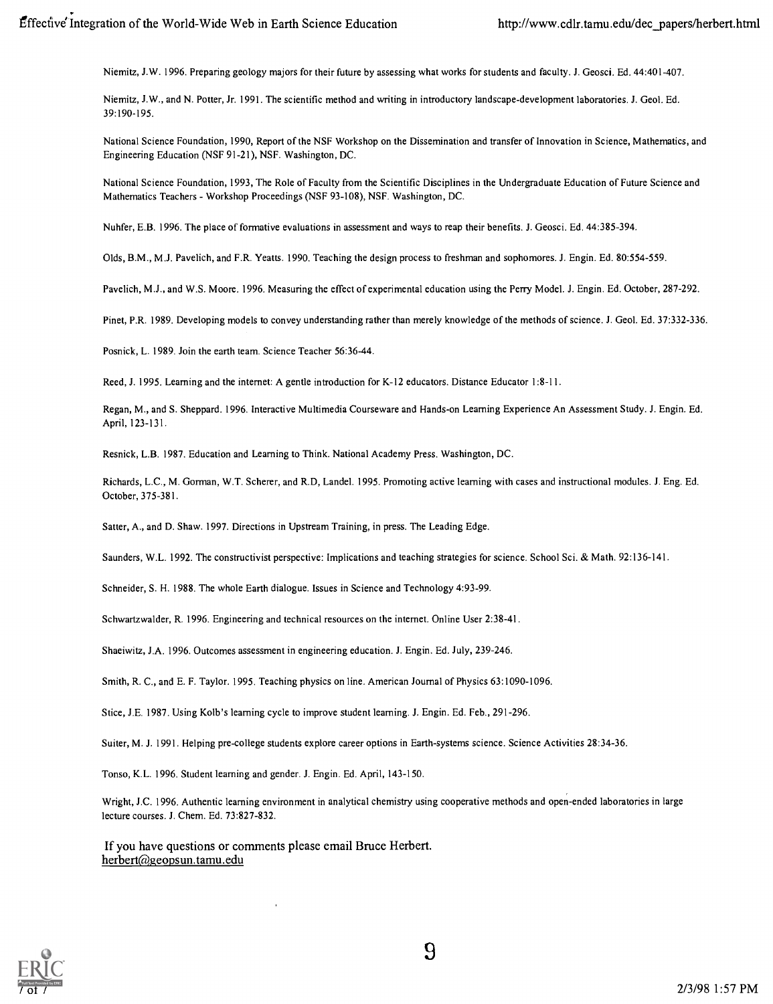Niernitz, J.W. 1996. Preparing geology majors for their future by assessing what works for students and faculty. J. Geosci. Ed. 44:401-407.

Niemitz, J.W., and N. Potter, Jr. 1991. The scientific method and writing in introductory landscape-development laboratories. J. Geol. Ed. 39:190-195.

National Science Foundation, 1990, Report of the NSF Workshop on the Dissemination and transfer of Innovation in Science, Mathematics, and Engineering Education (NSF 91-21), NSF. Washington, DC.

National Science Foundation, 1993, The Role of Faculty from the Scientific Disciplines in the Undergraduate Education of Future Science and Mathematics Teachers - Workshop Proceedings (NSF 93-108), NSF. Washington, DC.

Nuhfer, E.B. 1996. The place of formative evaluations in assessment and ways to reap their benefits. J. Geosci. Ed. 44:385-394.

Olds, B.M., M.J. Pavelich, and F.R. Yeatts. 1990. Teaching the design process to freshman and sophomores. J. Engin. Ed. 80:554-559.

Pavelich, M.J., and W.S. Moore. 1996. Measuring the effect of experimental education using the Perry Model. J. Engin. Ed. October, 287-292.

Pinet, P.R. 1989. Developing models to convey understanding rather than merely knowledge of the methods of science. J. Geol. Ed. 37:332-336.

Posnick, L. 1989. Join the earth team. Science Teacher 56:36-44.

Reed, J. 1995. Learning and the internet: A gentle introduction for K-12 educators. Distance Educator 1:8-11.

Regan, M., and S. Sheppard. 1996. Interactive Multimedia Courseware and Hands-on Learning Experience An Assessment Study. J. Engin. Ed. April, 123-131.

Resnick, L.B. 1987. Education and Learning to Think. National Academy Press. Washington, DC.

Richards, L.C., M. Gorman, W.T. Scherer, and R.D, Landel. 1995. Promoting active learning with cases and instructional modules. J. Eng. Ed. October, 375-381.

Satter, A., and D. Shaw. 1997. Directions in Upstream Training, in press. The Leading Edge.

Saunders, W.L. 1992. The constructivist perspective: Implications and teaching strategies for science. School Sci. & Math. 92:136-141.

Schneider, S. H. 1988. The whole Earth dialogue. Issues in Science and Technology 4:93-99.

Schwartzwalder, R. 1996. Engineering and technical resources on the internet. Online User 2:38-41.

Shaeiwitz, J.A. 1996. Outcomes assessment in engineering education. J. Engin. Ed. July, 239-246.

Smith, R. C., and E. F. Taylor. 1995. Teaching physics on line. American Journal of Physics 63:1090-1096.

Stice, J.E. 1987. Using Kolb's learning cycle to improve student learning. J. Engin. Ed. Feb., 291-296.

Suiter, M. J. 1991. Helping pre-college students explore career options in Earth-systems science. Science Activities 28:34-36.

Tonso, K.L. 1996. Student learning and gender. J. Engin. Ed. April, 143-150.

Wright, J.C. 1996. Authentic learning environrnent in analytical chemistry using cooperative methods and open-ended laboratories in large lecture courses. J. Chem. Ed. 73:827-832.

If you have questions or comments please email Bruce Herbert. herbert@geopsun.tamu.edu